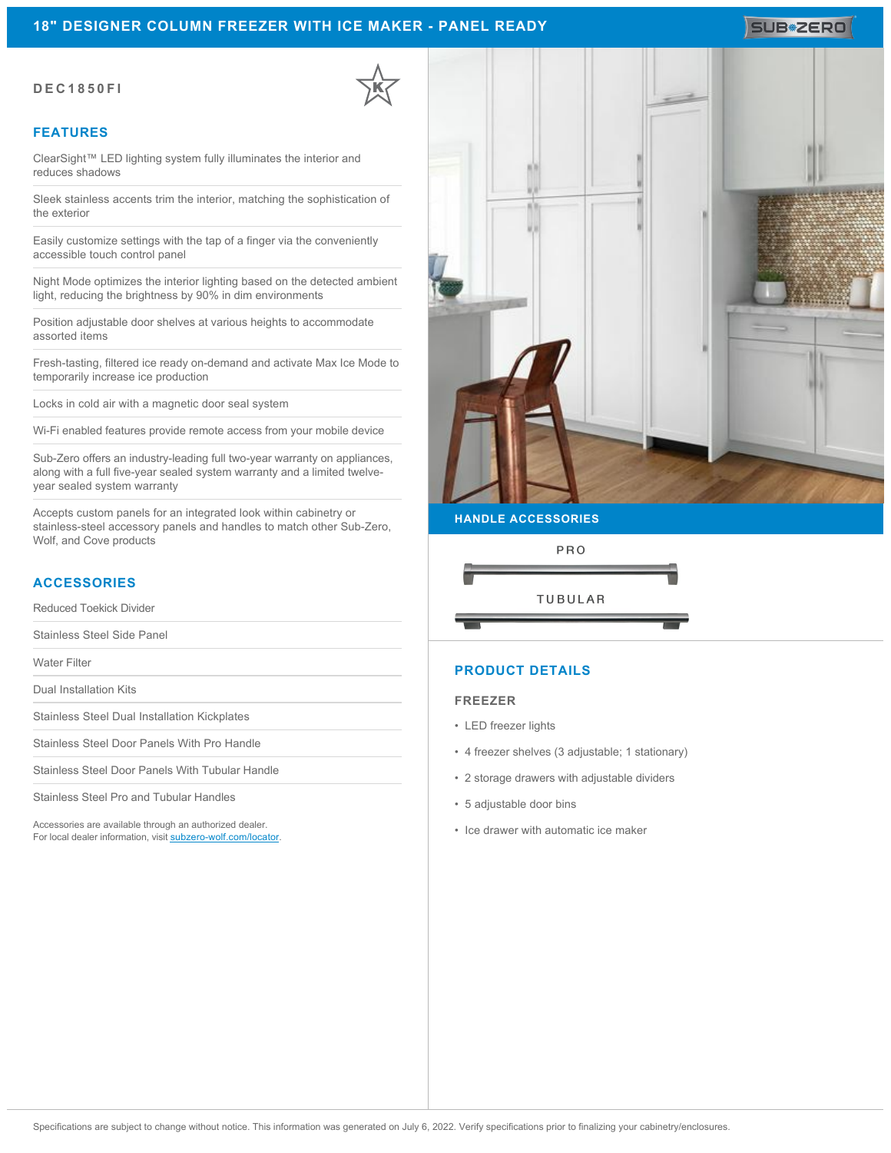#### **18" DESIGNER COLUMN FREEZER WITH ICE MAKER - PANEL READY**

# SUB<sup>\*</sup>ZERO

#### **DEC1850FI**

#### **FEATURES**

ClearSight™ LED lighting system fully illuminates the interior and reduces shadows

Sleek stainless accents trim the interior, matching the sophistication of the exterior

Easily customize settings with the tap of a finger via the conveniently accessible touch control panel

Night Mode optimizes the interior lighting based on the detected ambient light, reducing the brightness by 90% in dim environments

Position adjustable door shelves at various heights to accommodate assorted items

Fresh-tasting, filtered ice ready on-demand and activate Max Ice Mode to temporarily increase ice production

Locks in cold air with a magnetic door seal system

Wi-Fi enabled features provide remote access from your mobile device

Sub-Zero offers an industry-leading full two-year warranty on appliances, along with a full five-year sealed system warranty and a limited twelveyear sealed system warranty

Accepts custom panels for an integrated look within cabinetry or stainless-steel accessory panels and handles to match other Sub-Zero, Wolf, and Cove products

### **ACCESSORIES**

Reduced Toekick Divider

Stainless Steel Side Panel

Water Filter

Dual Installation Kits

Stainless Steel Dual Installation Kickplates

Stainless Steel Door Panels With Pro Handle

Stainless Steel Door Panels With Tubular Handle

Stainless Steel Pro and Tubular Handles

Accessories are available through an authorized dealer. For local dealer information, visit [subzero-wolf.com/locator.](http://www.subzero-wolf.com/locator)



**HANDLE ACCESSORIES**



# **PRODUCT DETAILS**

#### **FREEZER**

- LED freezer lights
- 4 freezer shelves (3 adjustable; 1 stationary)
- 2 storage drawers with adjustable dividers
- 5 adjustable door bins
- Ice drawer with automatic ice maker